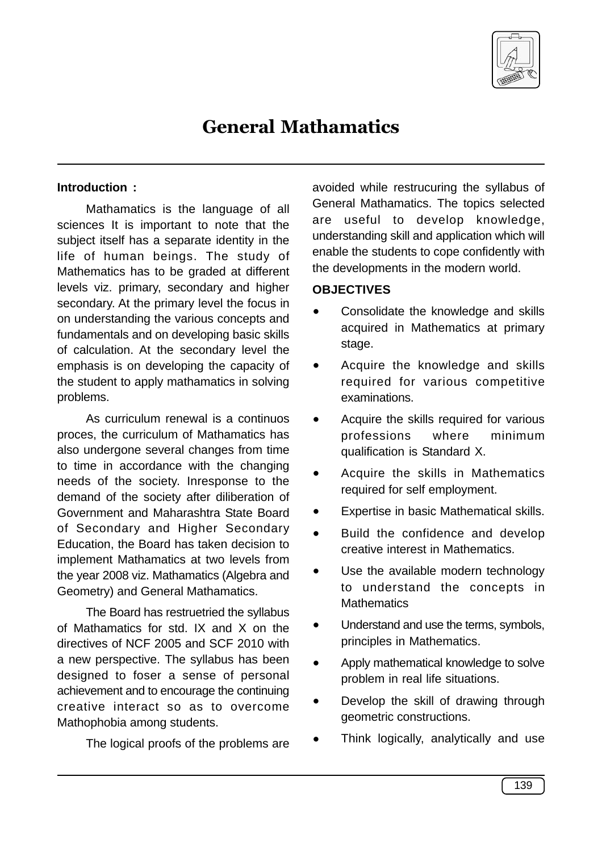

# General Mathamatics

#### **Introduction :**

Mathamatics is the language of all sciences It is important to note that the subject itself has a separate identity in the life of human beings. The study of Mathematics has to be graded at different levels viz. primary, secondary and higher secondary. At the primary level the focus in on understanding the various concepts and fundamentals and on developing basic skills of calculation. At the secondary level the emphasis is on developing the capacity of the student to apply mathamatics in solving problems.

As curriculum renewal is a continuos proces, the curriculum of Mathamatics has also undergone several changes from time to time in accordance with the changing needs of the society. Inresponse to the demand of the society after diliberation of Government and Maharashtra State Board of Secondary and Higher Secondary Education, the Board has taken decision to implement Mathamatics at two levels from the year 2008 viz. Mathamatics (Algebra and Geometry) and General Mathamatics.

The Board has restruetried the syllabus of Mathamatics for std. IX and X on the directives of NCF 2005 and SCF 2010 with a new perspective. The syllabus has been designed to foser a sense of personal achievement and to encourage the continuing creative interact so as to overcome Mathophobia among students.

The logical proofs of the problems are

avoided while restrucuring the syllabus of General Mathamatics. The topics selected are useful to develop knowledge, understanding skill and application which will enable the students to cope confidently with the developments in the modern world.

#### **OBJECTIVES**

- Consolidate the knowledge and skills acquired in Mathematics at primary stage.
- Acquire the knowledge and skills required for various competitive examinations.
- · Acquire the skills required for various professions where minimum qualification is Standard X.
- · Acquire the skills in Mathematics required for self employment.
- Expertise in basic Mathematical skills.
- · Build the confidence and develop creative interest in Mathematics.
- Use the available modern technology to understand the concepts in **Mathematics**
- Understand and use the terms, symbols, principles in Mathematics.
- · Apply mathematical knowledge to solve problem in real life situations.
- · Develop the skill of drawing through geometric constructions.
- Think logically, analytically and use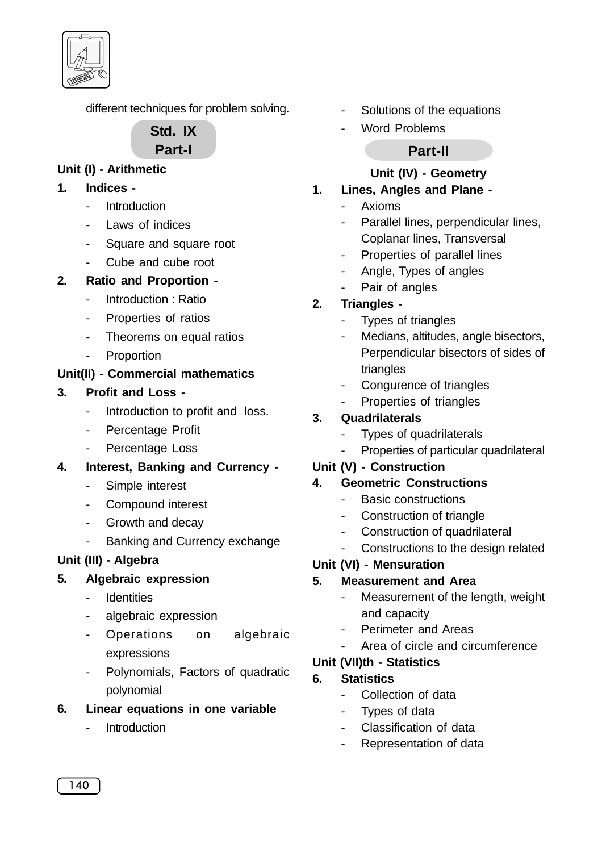

different techniques for problem solving.

# **Std. IX Part-I**

# **Unit (I) - Arithmetic**

- **1. Indices -**
	- Introduction
	- Laws of indices
	- Square and square root
	- Cube and cube root
- **2. Ratio and Proportion -**
	- Introduction: Ratio
	- Properties of ratios
	- Theorems on equal ratios
	- **Proportion**

# **Unit(II) - Commercial mathematics**

## **3. Profit and Loss -**

- Introduction to profit and loss.
- Percentage Profit
- Percentage Loss
- **4. Interest, Banking and Currency -**
	- Simple interest
	- Compound interest
	- Growth and decay
	- Banking and Currency exchange

# **Unit (III) - Algebra**

### **5. Algebraic expression**

- **Identities**
- algebraic expression
- Operations on algebraic expressions
- Polynomials, Factors of quadratic polynomial

# **6. Linear equations in one variable**

**Introduction** 

- Solutions of the equations
- Word Problems

# **Part-II**

## **Unit (IV) - Geometry**

## **1. Lines, Angles and Plane -**

- Axioms
- Parallel lines, perpendicular lines, Coplanar lines, Transversal
- Properties of parallel lines
- Angle, Types of angles
- Pair of angles

# **2. Triangles -**

- Types of triangles
- Medians, altitudes, angle bisectors, Perpendicular bisectors of sides of triangles
- Congurence of triangles
- Properties of triangles

# **3. Quadrilaterals**

- Types of quadrilaterals
- Properties of particular quadrilateral

### **Unit (V) - Construction**

### **4. Geometric Constructions**

- Basic constructions
- Construction of triangle
- Construction of quadrilateral
- Constructions to the design related

# **Unit (VI) - Mensuration**

### **5. Measurement and Area**

- Measurement of the length, weight and capacity
- Perimeter and Areas
- Area of circle and circumference

# **Unit (VII)th - Statistics**

# **6. Statistics**

- Collection of data
- Types of data
- Classification of data
- Representation of data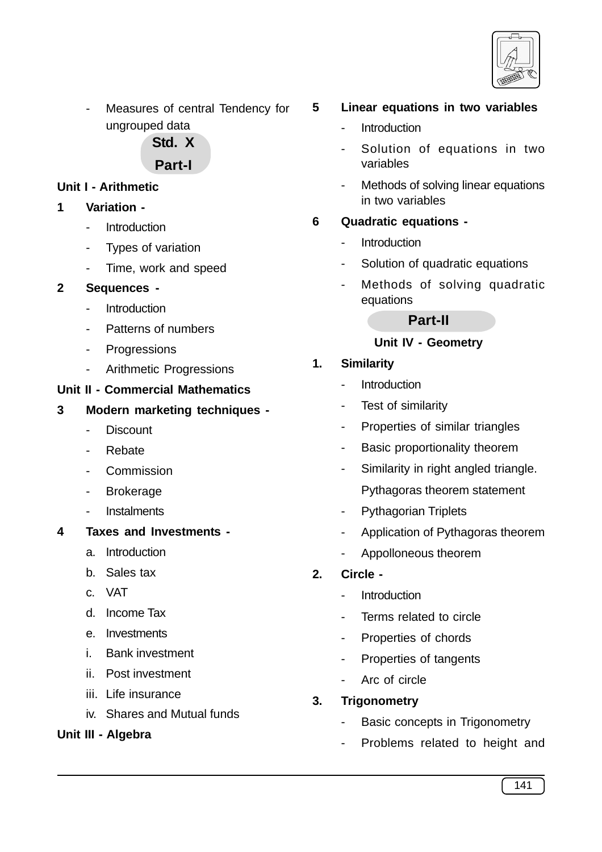

Measures of central Tendency for ungrouped data

**Std. X**

# **Part-I**

## **Unit I - Arithmetic**

- **1 Variation -**
	- **Introduction**
	- Types of variation
	- Time, work and speed

#### **2 Sequences -**

- Introduction
- Patterns of numbers
- Progressions
- Arithmetic Progressions

#### **Unit II - Commercial Mathematics**

- **3 Modern marketing techniques -**
	- Discount
	- Rebate
	- **Commission**
	- **Brokerage**
	- **Instalments**
- **4 Taxes and Investments** 
	- a. Introduction
	- b. Sales tax
	- c. VAT
	- d. Income Tax
	- e. Investments
	- i. Bank investment
	- ii. Post investment
	- iii. Life insurance
	- iv. Shares and Mutual funds

### **Unit III - Algebra**

### **5 Linear equations in two variables**

- Introduction
- Solution of equations in two variables
- Methods of solving linear equations in two variables

## **6 Quadratic equations -**

- Introduction
- Solution of quadratic equations
- Methods of solving quadratic equations

#### **Part-II**

#### **Unit IV - Geometry**

### **1. Similarity**

- **Introduction**
- Test of similarity
- Properties of similar triangles
- Basic proportionality theorem
- Similarity in right angled triangle. Pythagoras theorem statement
- Pythagorian Triplets
- Application of Pythagoras theorem
- Appolloneous theorem

### **2. Circle -**

- Introduction
- Terms related to circle
- Properties of chords
- Properties of tangents
- Arc of circle

### **3. Trigonometry**

- Basic concepts in Trigonometry
- Problems related to height and